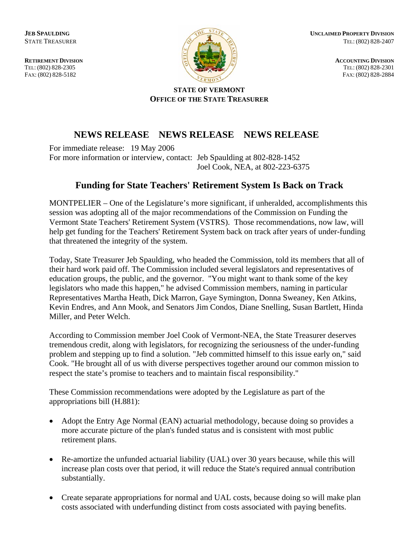

**JEB SPAULDING UNCLAIMED PROPERTY DIVISION** STATE TREASURER **TEL:** (802) 828-2407

## **STATE OF VERMONT OFFICE OF THE STATE TREASURER**

## **NEWS RELEASE NEWS RELEASE NEWS RELEASE**

For immediate release: 19 May 2006

For more information or interview, contact: Jeb Spaulding at 802-828-1452 Joel Cook, NEA, at 802-223-6375

## **Funding for State Teachers' Retirement System Is Back on Track**

MONTPELIER – One of the Legislature's more significant, if unheralded, accomplishments this session was adopting all of the major recommendations of the Commission on Funding the Vermont State Teachers' Retirement System (VSTRS). Those recommendations, now law, will help get funding for the Teachers' Retirement System back on track after years of under-funding that threatened the integrity of the system.

Today, State Treasurer Jeb Spaulding, who headed the Commission, told its members that all of their hard work paid off. The Commission included several legislators and representatives of education groups, the public, and the governor. "You might want to thank some of the key legislators who made this happen," he advised Commission members, naming in particular Representatives Martha Heath, Dick Marron, Gaye Symington, Donna Sweaney, Ken Atkins, Kevin Endres, and Ann Mook, and Senators Jim Condos, Diane Snelling, Susan Bartlett, Hinda Miller, and Peter Welch.

According to Commission member Joel Cook of Vermont-NEA, the State Treasurer deserves tremendous credit, along with legislators, for recognizing the seriousness of the under-funding problem and stepping up to find a solution. "Jeb committed himself to this issue early on," said Cook. "He brought all of us with diverse perspectives together around our common mission to respect the state's promise to teachers and to maintain fiscal responsibility."

These Commission recommendations were adopted by the Legislature as part of the appropriations bill (H.881):

- Adopt the Entry Age Normal (EAN) actuarial methodology, because doing so provides a more accurate picture of the plan's funded status and is consistent with most public retirement plans.
- Re-amortize the unfunded actuarial liability (UAL) over 30 years because, while this will increase plan costs over that period, it will reduce the State's required annual contribution substantially.
- Create separate appropriations for normal and UAL costs, because doing so will make plan costs associated with underfunding distinct from costs associated with paying benefits.